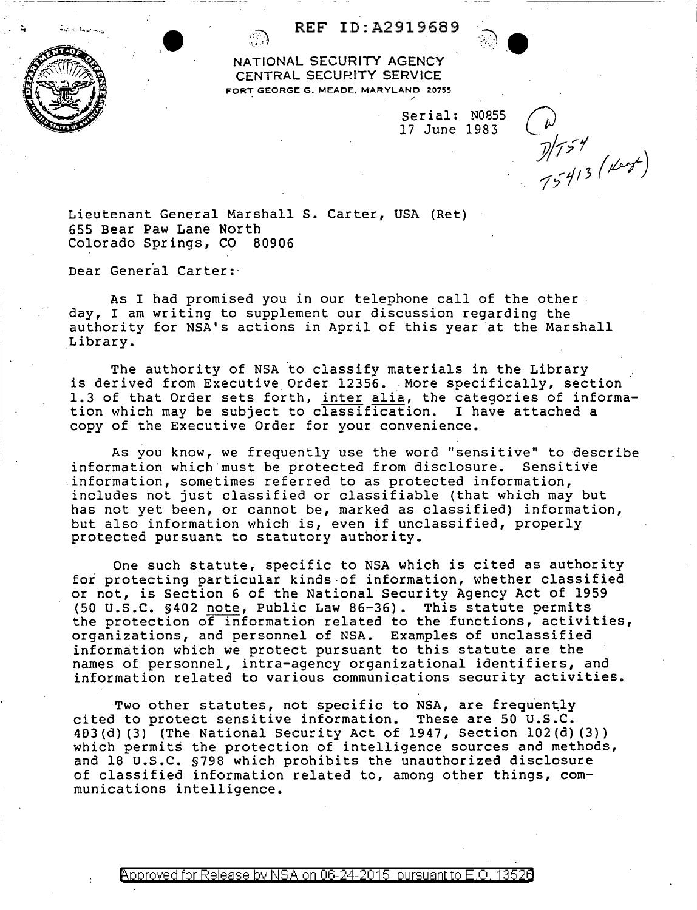

-----------

## REF ID:A2919689

 $\bullet$  .  $\bullet$  .  $\bullet$ NATIONAL SECURITY AGENCY CENTRAL SECURITY SERVICE FORT GEORGE G. MEADE, MARYLAND 20755

> Serial: N0855 17 June 1983

 $\frac{1}{2}$ <br> $\frac{1}{7}$   $\frac{1}{7}$   $\frac{1}{3}$   $\frac{1}{10}$ 

Lieutenant General Marshall S. Carter, USA (Ret) 655 Bear Paw Lane North Colorado Springs, CO 80906

Dear General Carter:

As I had promised you in our telephone call of the other day, I am writing to supplement our discussion regarding the authority for NSA's actions in April of this year at the Marshall Library.

The authority of NSA to classify materials in the Library is derived from Executive. Order 12356. More specifically, section 1.3 of that Order sets forth, inter alia, the categories of informa-<br>tion which may be subject to classification. I have attached a tion which may be subject to classification. copy of the Executive Order for your convenience.

As you know, we frequently use the word "sensitive" to describe information which must be protected from disclosure. Sensitive information, sometimes referred to as protected information, includes not just classified *oi* classifiable (that which may but has not yet been, or cannot be, marked as classified) information, but also information which is, even if unclassified, properly protected pursuant to statutory authority.

One such statute, specific to NSA which is cited as authority for protecting particular kinds-of information, whether classified or not, is Section 6 of the National Security Agency Act of 1959 (50 u.s.c. §402 note, Public Law 86-36). This statute permits the protection of information related to the functions, activities, organizations, and personnel of NSA. Examples of unclassified information which we protect pursuant to this statute are the names of personnel, intra-agency organizational identifiers, and information related to various communications security activities.

Two other statutes, not specific to NSA, are frequently cited to protect sensitive information. These are 50 u.s.c. 403 (d) (3) (The National Security Act of 1947, Section 102 (d) (3)) which permits the protection of intelligence sources and methods, and 18 u.s.c. §798 which prohibits the unauthorized disclosure of classified information related to, among other things, communications intelligence.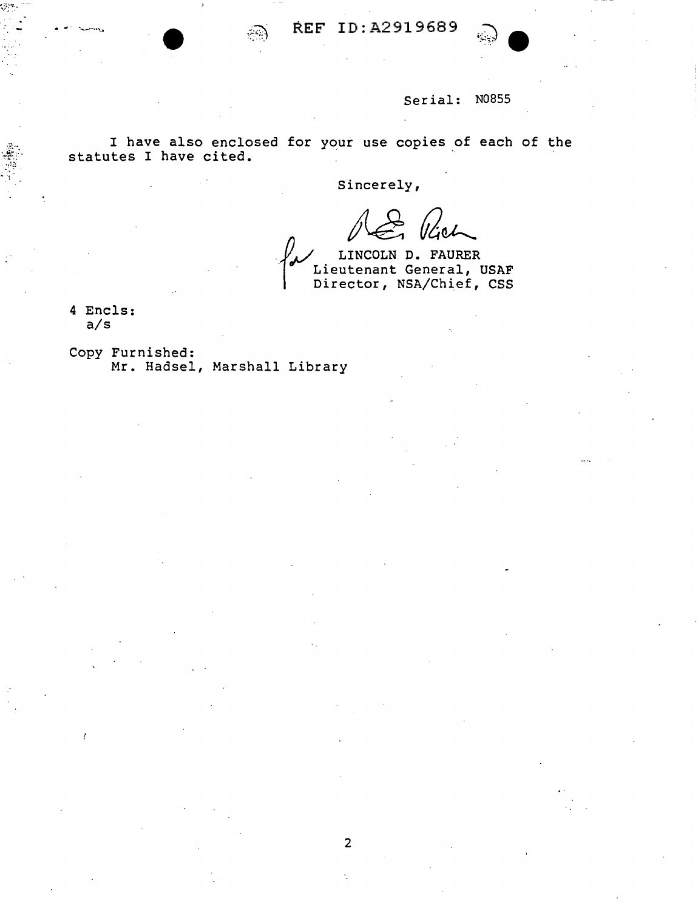

## Serial: N0855

I have also enclosed for your use copies of each of the statutes I have cited.

Sincerely,

2

Soliet (Get)

Director, NSA/Chief, CSS

4 Encls: a/s

1

Copy Furnished: Mr. Hadsel, Marshall Library